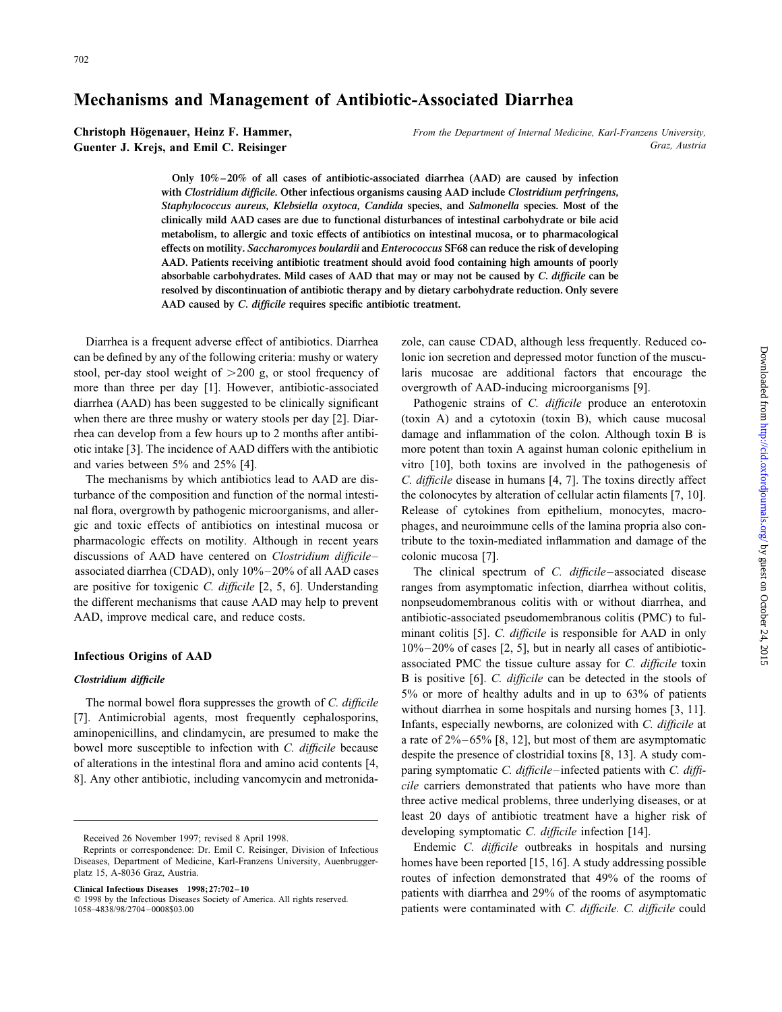## **Mechanisms and Management of Antibiotic-Associated Diarrhea**

**Christoph Högenauer, Heinz F. Hammer,** *From the Department of Internal Medicine, Karl-Franzens University,* **Guenter J. Krejs, and Emil C. Reisinger** *Graz, Austria*

> **Only 10%–20% of all cases of antibiotic-associated diarrhea (AAD) are caused by infection with** *Clostridium difficile.* **Other infectious organisms causing AAD include** *Clostridium perfringens, Staphylococcus aureus, Klebsiella oxytoca, Candida* **species, and** *Salmonella* **species. Most of the clinically mild AAD cases are due to functional disturbances of intestinal carbohydrate or bile acid metabolism, to allergic and toxic effects of antibiotics on intestinal mucosa, or to pharmacological effects on motility.** *Saccharomyces boulardii* **and** *Enterococcus* **SF68 can reduce the risk of developing AAD. Patients receiving antibiotic treatment should avoid food containing high amounts of poorly absorbable carbohydrates. Mild cases of AAD that may or may not be caused by** *C. difficile* **can be resolved by discontinuation of antibiotic therapy and by dietary carbohydrate reduction. Only severe AAD caused by** *C. difficile* **requires specific antibiotic treatment.**

can be defined by any of the following criteria: mushy or watery lonic ion secretion and depressed motor function of the muscustool, per-day stool weight of  $>$  200 g, or stool frequency of laris mucosae are additional factors that encourage the more than three per day [1]. However, antibiotic-associated overgrowth of AAD-inducing microorganisms [9]. diarrhea (AAD) has been suggested to be clinically significant Pathogenic strains of *C. difficile* produce an enterotoxin when there are three mushy or watery stools per day [2]. Diar- (toxin A) and a cytotoxin (toxin B), which cause mucosal rhea can develop from a few hours up to 2 months after antibi- damage and inflammation of the colon. Although toxin B is otic intake [3]. The incidence of AAD differs with the antibiotic more potent than toxin A against human colonic epithelium in and varies between 5% and 25% [4]. vitro [10], both toxins are involved in the pathogenesis of

turbance of the composition and function of the normal intesti- the colonocytes by alteration of cellular actin filaments [7, 10]. nal flora, overgrowth by pathogenic microorganisms, and aller- Release of cytokines from epithelium, monocytes, macrogic and toxic effects of antibiotics on intestinal mucosa or phages, and neuroimmune cells of the lamina propria also conpharmacologic effects on motility. Although in recent years tribute to the toxin-mediated inflammation and damage of the discussions of AAD have centered on *Clostridium difficile*– colonic mucosa [7]. associated diarrhea (CDAD), only 10%–20% of all AAD cases The clinical spectrum of *C. difficile*–associated disease are positive for toxigenic *C. difficile* [2, 5, 6]. Understanding ranges from asymptomatic infection, diarrhea without colitis, the different mechanisms that cause AAD may help to prevent nonpseudomembranous colitis with or without diarrhea, and AAD, improve medical care, and reduce costs. antibiotic-associated pseudomembranous colitis (PMC) to ful-

Diarrhea is a frequent adverse effect of antibiotics. Diarrhea zole, can cause CDAD, although less frequently. Reduced co-

The mechanisms by which antibiotics lead to AAD are dis- *C. difficile* disease in humans [4, 7]. The toxins directly affect

minant colitis [5]. *C. difficile* is responsible for AAD in only **10%–20% of cases [2, 5], but in nearly all cases of antibiotic-**<br>**Infectious Origins of AAD** associated PMC the tissue culture assay for *C. difficile* toxin **Clostridium difficile** B is positive [6]. *C. difficile* can be detected in the stools of The normal bowel flora suppresses the growth of *C. difficile*<br>
[7]. Antimicrobial agents, most frequently cephalosporins,<br>
aminopenicillins, and clindamycin, are presumed to make the<br>
bowel more susceptible to infection three active medical problems, three underlying diseases, or at least 20 days of antibiotic treatment have a higher risk of

Received 26 November 1997; revised 8 April 1998.<br>Reprints or correspondence: Dr. Emil C. Reisinger, Division of Infections **Endemic** *C. difficile* outbreaks in hospitals and nursing Diseases, Department of Medicine, Karl-Franzens University, Auenbrugger-<br>platz 15, A-8036 Graz, Austria.<br>comes have been reported [15, 16]. A study addressing possible<br>platz 15, A-8036 Graz, Austria.<br>comes of infection dem Clinical Infectious Diseases 1998;27:702–10<br>© 1998 by the Infectious Diseases Society of America. All rights reserved. patients with diarrhea and 29% of the rooms of asymptomatic patients of America. All rights reserved. 1058–4838/98/2704–0008\$03.00 patients were contaminated with *C. difficile. C. difficile* could

Reprints or correspondence: Dr. Emil C. Reisinger, Division of Infectious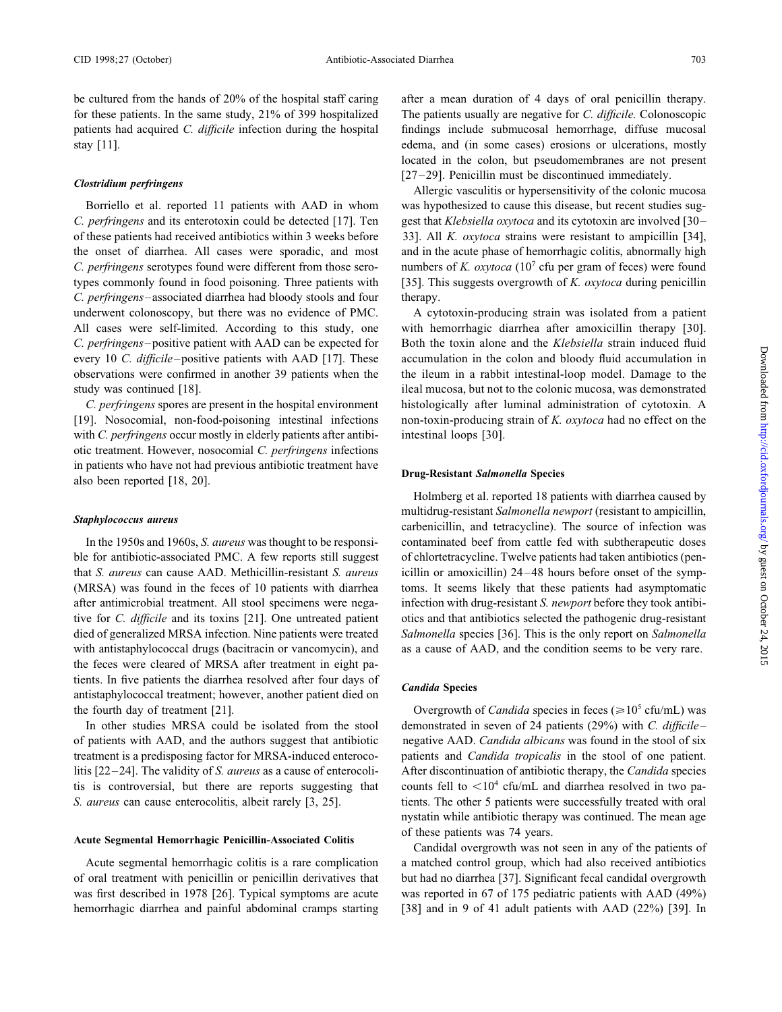be cultured from the hands of 20% of the hospital staff caring after a mean duration of 4 days of oral penicillin therapy. for these patients. In the same study, 21% of 399 hospitalized The patients usually are negative for *C. difficile.* Colonoscopic patients had acquired *C. difficile* infection during the hospital findings include submucosal hemorrhage, diffuse mucosal stay [11]. edema, and (in some cases) erosions or ulcerations, mostly

*C. perfringens* and its enterotoxin could be detected [17]. Ten gest that *Klebsiella oxytoca* and its cytotoxin are involved [30– of these patients had received antibiotics within 3 weeks before 33]. All *K. oxytoca* strains were resistant to ampicillin [34], the onset of diarrhea. All cases were sporadic, and most and in the acute phase of hemorrhagic colitis, abnormally high C. perfringens serotypes found were different from those sero- numbers of *K. oxytoca* (10<sup>7</sup> cfu per gram of feces) were found types commonly found in food poisoning. Three patients with [35]. This suggests overgrowth of *K. oxytoca* during penicillin *C. perfringens*–associated diarrhea had bloody stools and four therapy. underwent colonoscopy, but there was no evidence of PMC. A cytotoxin-producing strain was isolated from a patient All cases were self-limited. According to this study, one with hemorrhagic diarrhea after amoxicillin therapy [30]. *C. perfringens*–positive patient with AAD can be expected for Both the toxin alone and the *Klebsiella* strain induced fluid every 10 *C. difficile*–positive patients with AAD [17]. These accumulation in the colon and bloody fluid accumulation in observations were confirmed in another 39 patients when the the ileum in a rabbit intestinal-loop model. Damage to the study was continued [18]. ileal mucosa, but not to the colonic mucosa, was demonstrated

[19]. Nosocomial, non-food-poisoning intestinal infections non-toxin-producing strain of *K. oxytoca* had no effect on the with *C. perfringens* occur mostly in elderly patients after antibi- intestinal loops [30]. otic treatment. However, nosocomial *C. perfringens* infections in patients who have not had previous antibiotic treatment have **Drug-Resistant** *Salmonella* **Species** also been reported [18, 20].

ble for antibiotic-associated PMC. A few reports still suggest of chlortetracycline. Twelve patients had taken antibiotics (penthat *S. aureus* can cause AAD. Methicillin-resistant *S. aureus* icillin or amoxicillin) 24–48 hours before onset of the symp- (MRSA) was found in the feces of 10 patients with diarrhea toms. It seems likely that these patients had asymptomatic after antimicrobial treatment. All stool specimens were nega- infection with drug-resistant *S. newport* before they took antibitive for *C. difficile* and its toxins [21]. One untreated patient otics and that antibiotics selected the pathogenic drug-resistant died of generalized MRSA infection. Nine patients were treated *Salmonella* species [36]. This is the only report on *Salmonella* with antistaphylococcal drugs (bacitracin or vancomycin), and as a cause of AAD, and the condition seems to be very rare. the feces were cleared of MRSA after treatment in eight patients. In five patients the diarrhea resolved after four days of *Candida* **Species** antistaphylococcal treatment; however, another patient died on the fourth day of treatment [21]. Overgrowth of *Candida* species in feces ( $\geq 10^5$  cfu/mL) was

of patients with AAD, and the authors suggest that antibiotic negative AAD. *Candida albicans* was found in the stool of six treatment is a predisposing factor for MRSA-induced enteroco- patients and *Candida tropicalis* in the stool of one patient. litis [22–24]. The validity of *S. aureus* as a cause of enterocoli- After discontinuation of antibiotic therapy, the *Candida* species tis is controversial, but there are reports suggesting that counts fell to  $\langle 10^4 \text{ cfu/mL} \rangle$  and diarrhea resolved in two pa-*S. aureus* can cause enterocolitis, albeit rarely [3, 25]. tients. The other 5 patients were successfully treated with oral

of oral treatment with penicillin or penicillin derivatives that but had no diarrhea [37]. Significant fecal candidal overgrowth was first described in 1978 [26]. Typical symptoms are acute was reported in 67 of 175 pediatric patients with AAD (49%) hemorrhagic diarrhea and painful abdominal cramps starting [38] and in 9 of 41 adult patients with AAD (22%) [39]. In

located in the colon, but pseudomembranes are not present **Clostridium perfringens** [27–29]. Penicillin must be discontinued immediately.<br>Allergic vasculitis or hypersensitivity of the colonic mucosa

Borriello et al. reported 11 patients with AAD in whom was hypothesized to cause this disease, but recent studies sug-

*C. perfringens* spores are present in the hospital environment histologically after luminal administration of cytotoxin. A

Holmberg et al. reported 18 patients with diarrhea caused by multidrug-resistant *Salmonella newport* (resistant to ampicillin, *Staphylococcus aureus* carbenicillin, and tetracycline). The source of infection was In the 1950s and 1960s, *S. aureus* was thought to be responsi- contaminated beef from cattle fed with subtherapeutic doses

In other studies MRSA could be isolated from the stool demonstrated in seven of 24 patients (29%) with *C. difficile*– nystatin while antibiotic therapy was continued. The mean age Acute Segmental Hemorrhagic Penicillin-Associated Colitis of these patients was 74 years.<br>Candidal overgrowth was not seen in any of the patients of

Acute segmental hemorrhagic colitis is a rare complication a matched control group, which had also received antibiotics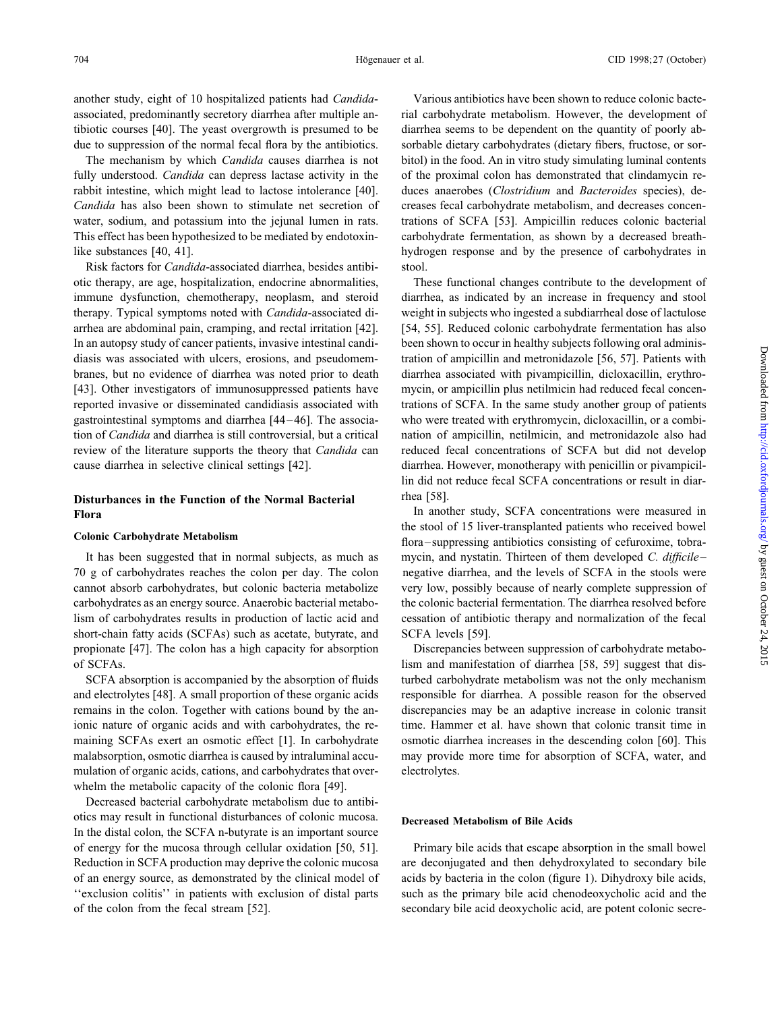associated, predominantly secretory diarrhea after multiple an- rial carbohydrate metabolism. However, the development of tibiotic courses [40]. The yeast overgrowth is presumed to be diarrhea seems to be dependent on the quantity of poorly abdue to suppression of the normal fecal flora by the antibiotics. sorbable dietary carbohydrates (dietary fibers, fructose, or sor-

fully understood. *Candida* can depress lactase activity in the of the proximal colon has demonstrated that clindamycin rerabbit intestine, which might lead to lactose intolerance [40]. duces anaerobes (*Clostridium* and *Bacteroides* species), de-*Candida* has also been shown to stimulate net secretion of creases fecal carbohydrate metabolism, and decreases concenwater, sodium, and potassium into the jejunal lumen in rats. trations of SCFA [53]. Ampicillin reduces colonic bacterial This effect has been hypothesized to be mediated by endotoxin- carbohydrate fermentation, as shown by a decreased breathlike substances [40, 41]. hydrogen response and by the presence of carbohydrates in

Risk factors for *Candida*-associated diarrhea, besides antibi- stool. otic therapy, are age, hospitalization, endocrine abnormalities, These functional changes contribute to the development of immune dysfunction, chemotherapy, neoplasm, and steroid diarrhea, as indicated by an increase in frequency and stool therapy. Typical symptoms noted with *Candida*-associated di- weight in subjects who ingested a subdiarrheal dose of lactulose arrhea are abdominal pain, cramping, and rectal irritation [42]. [54, 55]. Reduced colonic carbohydrate fermentation has also In an autopsy study of cancer patients, invasive intestinal candi- been shown to occur in healthy subjects following oral adminisdiasis was associated with ulcers, erosions, and pseudomem- tration of ampicillin and metronidazole [56, 57]. Patients with branes, but no evidence of diarrhea was noted prior to death diarrhea associated with pivampicillin, dicloxacillin, erythro- [43]. Other investigators of immunosuppressed patients have mycin, or ampicillin plus netilmicin had reduced fecal concenreported invasive or disseminated candidiasis associated with trations of SCFA. In the same study another group of patients gastrointestinal symptoms and diarrhea [44–46]. The associa- who were treated with erythromycin, dicloxacillin, or a combition of *Candida* and diarrhea is still controversial, but a critical nation of ampicillin, netilmicin, and metronidazole also had review of the literature supports the theory that *Candida* can reduced fecal concentrations of SCFA but did not develop cause diarrhea in selective clinical settings [42]. diarrhea. However, monotherapy with penicillin or pivampicil-

# **Disturbances in the Function of the Normal Bacterial** rhea [58].

70 g of carbohydrates reaches the colon per day. The colon negative diarrhea, and the levels of SCFA in the stools were cannot absorb carbohydrates, but colonic bacteria metabolize very low, possibly because of nearly complete suppression of carbohydrates as an energy source. Anaerobic bacterial metabo- the colonic bacterial fermentation. The diarrhea resolved before lism of carbohydrates results in production of lactic acid and cessation of antibiotic therapy and normalization of the fecal short-chain fatty acids (SCFAs) such as acetate, butyrate, and SCFA levels [59]. propionate [47]. The colon has a high capacity for absorption Discrepancies between suppression of carbohydrate metaboof SCFAs. lism and manifestation of diarrhea [58, 59] suggest that dis-

and electrolytes [48]. A small proportion of these organic acids responsible for diarrhea. A possible reason for the observed remains in the colon. Together with cations bound by the an- discrepancies may be an adaptive increase in colonic transit ionic nature of organic acids and with carbohydrates, the re- time. Hammer et al. have shown that colonic transit time in maining SCFAs exert an osmotic effect [1]. In carbohydrate osmotic diarrhea increases in the descending colon [60]. This malabsorption, osmotic diarrhea is caused by intraluminal accu- may provide more time for absorption of SCFA, water, and mulation of organic acids, cations, and carbohydrates that over- electrolytes. whelm the metabolic capacity of the colonic flora [49].

Decreased bacterial carbohydrate metabolism due to antibiotics may result in functional disturbances of colonic mucosa. **Decreased Metabolism of Bile Acids** In the distal colon, the SCFA n-butyrate is an important source of energy for the mucosa through cellular oxidation [50, 51]. Primary bile acids that escape absorption in the small bowel Reduction in SCFA production may deprive the colonic mucosa are deconjugated and then dehydroxylated to secondary bile of an energy source, as demonstrated by the clinical model of acids by bacteria in the colon (figure 1). Dihydroxy bile acids, ''exclusion colitis'' in patients with exclusion of distal parts such as the primary bile acid chenodeoxycholic acid and the of the colon from the fecal stream [52]. secondary bile acid deoxycholic acid, are potent colonic secre-

another study, eight of 10 hospitalized patients had *Candida*- Various antibiotics have been shown to reduce colonic bacte-The mechanism by which *Candida* causes diarrhea is not bitol) in the food. An in vitro study simulating luminal contents

lin did not reduce fecal SCFA concentrations or result in diar-

**Flora** In another study, SCFA concentrations were measured in the stool of 15 liver-transplanted patients who received bowel The stock of 15 liver-transplanted patients who received bowlster transplanted bowlster consisting of cefuroxime, tobra-<br>flora–suppressing antibiotics consisting of cefuroxime, tobra-It has been suggested that in normal subjects, as much as mycin, and nystatin. Thirteen of them developed *C. difficile*–

SCFA absorption is accompanied by the absorption of fluids turbed carbohydrate metabolism was not the only mechanism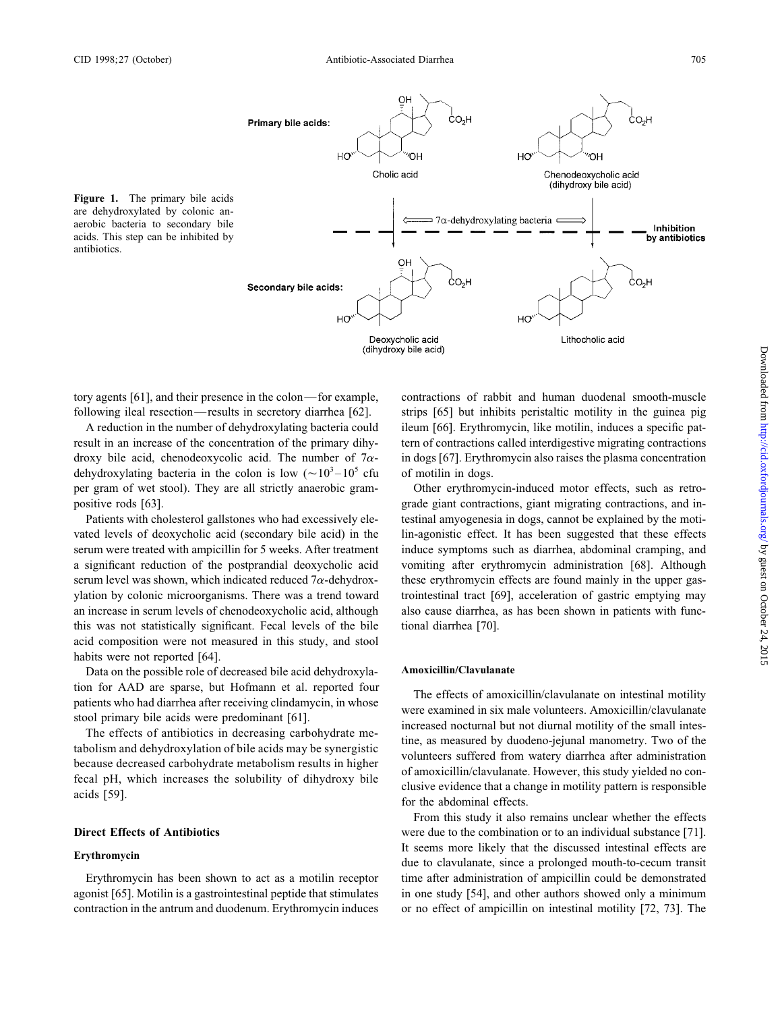

tory agents [61], and their presence in the colon—for example, contractions of rabbit and human duodenal smooth-muscle

result in an increase of the concentration of the primary dihy- tern of contractions called interdigestive migrating contractions droxy bile acid, chenodeoxycolic acid. The number of  $7\alpha$ - in dogs [67]. Erythromycin also raises the plasma concentration dehydroxylating bacteria in the colon is low  $({\sim}10^3-10^5$  cfu of motilin in dogs. per gram of wet stool). They are all strictly anaerobic gram- Other erythromycin-induced motor effects, such as retropositive rods [63]. grade giant contractions, giant migrating contractions, and in-

vated levels of deoxycholic acid (secondary bile acid) in the lin-agonistic effect. It has been suggested that these effects serum were treated with ampicillin for 5 weeks. After treatment induce symptoms such as diarrhea, abdominal cramping, and a significant reduction of the postprandial deoxycholic acid vomiting after erythromycin administration [68]. Although serum level was shown, which indicated reduced  $7\alpha$ -dehydrox-<br>these erythromycin effects are found mainly in the upper gasylation by colonic microorganisms. There was a trend toward trointestinal tract [69], acceleration of gastric emptying may an increase in serum levels of chenodeoxycholic acid, although also cause diarrhea, as has been shown in patients with functhis was not statistically significant. Fecal levels of the bile tional diarrhea [70]. acid composition were not measured in this study, and stool habits were not reported [64].

Data on the possible role of decreased bile acid dehydroxyla- **Amoxicillin/Clavulanate**

agonist [65]. Motilin is a gastrointestinal peptide that stimulates in one study [54], and other authors showed only a minimum contraction in the antrum and duodenum. Erythromycin induces or no effect of ampicillin on intestinal motility [72, 73]. The

following ileal resection—results in secretory diarrhea [62]. strips [65] but inhibits peristaltic motility in the guinea pig A reduction in the number of dehydroxylating bacteria could ileum [66]. Erythromycin, like motilin, induces a specific pat-

Patients with cholesterol gallstones who had excessively ele- testinal amyogenesia in dogs, cannot be explained by the moti-

tion for AAD are sparse, but Hofmann et al. reported four<br>patients who had diarrhea after receiving clindamycin, in whose<br>stool primary bile acids were predominant [61].<br>The effects of antibiotics in decreasing carbohydrat

From this study it also remains unclear whether the effects **Direct Effects of Antibiotics** were due to the combination or to an individual substance [71]. It seems more likely that the discussed intestinal effects are<br>due to clavulanate, since a prolonged mouth-to-cecum transit Erythromycin has been shown to act as a motilin receptor time after administration of ampicillin could be demonstrated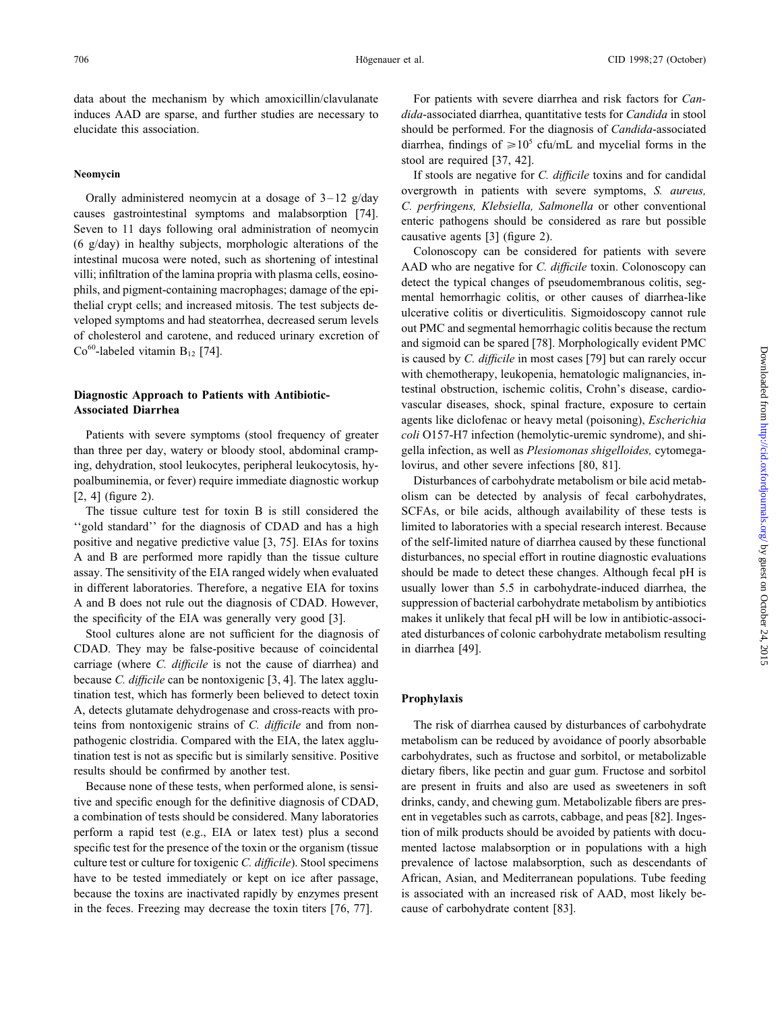induces AAD are sparse, and further studies are necessary to *dida*-associated diarrhea, quantitative tests for *Candida* in stool elucidate this association. Should be performed. For the diagnosis of *Candida*-associated

Orally administered neomycin at a dosage of 3-12 g/day<br>covergrowth in patients with severe symptoms, *S. aureus*,<br>causes gastrointestinal symptoms and malabsorption [74].<br>Seven to 11 days following oral administration of

than three per day, watery or bloody stool, abdominal cramp- gella infection, as well as *Plesiomonas shigelloides,* cytomegaing, dehydration, stool leukocytes, peripheral leukocytosis, hy- lovirus, and other severe infections [80, 81]. poalbuminemia, or fever) require immediate diagnostic workup Disturbances of carbohydrate metabolism or bile acid metab- [2, 4] (figure 2). olism can be detected by analysis of fecal carbohydrates,

''gold standard'' for the diagnosis of CDAD and has a high limited to laboratories with a special research interest. Because positive and negative predictive value [3, 75]. EIAs for toxins of the self-limited nature of diarrhea caused by these functional A and B are performed more rapidly than the tissue culture disturbances, no special effort in routine diagnostic evaluations assay. The sensitivity of the EIA ranged widely when evaluated should be made to detect these changes. Although fecal pH is in different laboratories. Therefore, a negative EIA for toxins usually lower than 5.5 in carbohydrate-induced diarrhea, the A and B does not rule out the diagnosis of CDAD. However, suppression of bacterial carbohydrate metabolism by antibiotics the specificity of the EIA was generally very good [3]. makes it unlikely that fecal pH will be low in antibiotic-associ-

CDAD. They may be false-positive because of coincidental in diarrhea [49]. carriage (where *C. difficile* is not the cause of diarrhea) and because *C. difficile* can be nontoxigenic [3, 4]. The latex agglutination test, which has formerly been believed to detect toxin **Prophylaxis** A, detects glutamate dehydrogenase and cross-reacts with proteins from nontoxigenic strains of *C. difficile* and from non- The risk of diarrhea caused by disturbances of carbohydrate pathogenic clostridia. Compared with the EIA, the latex agglu- metabolism can be reduced by avoidance of poorly absorbable tination test is not as specific but is similarly sensitive. Positive carbohydrates, such as fructose and sorbitol, or metabolizable results should be confirmed by another test. dietary fibers, like pectin and guar gum. Fructose and sorbitol

tive and specific enough for the definitive diagnosis of CDAD, drinks, candy, and chewing gum. Metabolizable fibers are presa combination of tests should be considered. Many laboratories ent in vegetables such as carrots, cabbage, and peas [82]. Ingesperform a rapid test (e.g., EIA or latex test) plus a second tion of milk products should be avoided by patients with docuspecific test for the presence of the toxin or the organism (tissue mented lactose malabsorption or in populations with a high culture test or culture for toxigenic *C. difficile*). Stool specimens prevalence of lactose malabsorption, such as descendants of have to be tested immediately or kept on ice after passage, African, Asian, and Mediterranean populations. Tube feeding because the toxins are inactivated rapidly by enzymes present is associated with an increased risk of AAD, most likely bein the feces. Freezing may decrease the toxin titers [76, 77]. cause of carbohydrate content [83].

data about the mechanism by which amoxicillin/clavulanate For patients with severe diarrhea and risk factors for *Can*diarrhea, findings of  $\geq 10^5$  cfu/mL and mycelial forms in the stool are required [37, 42].

**Neomycin** If stools are negative for *C. difficile* toxins and for candidal

with chemotherapy, leukopenia, hematologic malignancies, intestinal obstruction, ischemic colitis, Crohn's disease, cardio- **Diagnostic Approach to Patients with Antibiotic-** vascular diseases, shock, spinal fracture, exposure to certain **Associated Diarrhea** agents like diclofenac or heavy metal (poisoning), *Escherichia* Patients with severe symptoms (stool frequency of greater *coli* O157-H7 infection (hemolytic-uremic syndrome), and shi-

The tissue culture test for toxin B is still considered the SCFAs, or bile acids, although availability of these tests is Stool cultures alone are not sufficient for the diagnosis of ated disturbances of colonic carbohydrate metabolism resulting

Because none of these tests, when performed alone, is sensi- are present in fruits and also are used as sweeteners in soft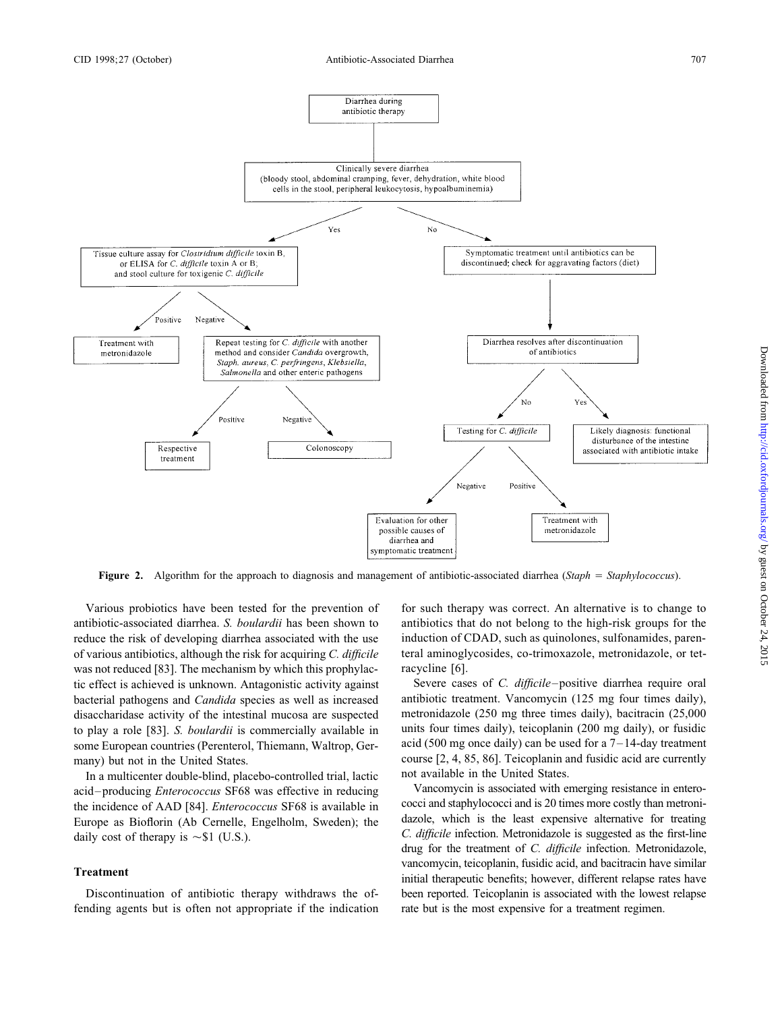

**Figure 2.** Algorithm for the approach to diagnosis and management of antibiotic-associated diarrhea (*Staph* = *Staphylococcus*).

antibiotic-associated diarrhea. *S. boulardii* has been shown to antibiotics that do not belong to the high-risk groups for the reduce the risk of developing diarrhea associated with the use induction of CDAD, such as quinolones, sulfonamides, parenof various antibiotics, although the risk for acquiring *C. difficile* teral aminoglycosides, co-trimoxazole, metronidazole, or tetwas not reduced [83]. The mechanism by which this prophylac- racycline [6]. tic effect is achieved is unknown. Antagonistic activity against Severe cases of *C. difficile*–positive diarrhea require oral bacterial pathogens and *Candida* species as well as increased antibiotic treatment. Vancomycin (125 mg four times daily), disaccharidase activity of the intestinal mucosa are suspected metronidazole (250 mg three times daily), bacitracin (25,000 to play a role [83]. *S. boulardii* is commercially available in units four times daily), teicoplanin (200 mg daily), or fusidic some European countries (Perenterol, Thiemann, Waltrop, Ger- acid (500 mg once daily) can be some European countries (Perenterol, Thiemann, Waltrop, Ger-

In a multicenter double-blind, placebo-controlled trial, lactic in the available in the United States.<br>
In a multicenter double-blind, placebo-controlled trial, lactic in the United States variance in entero-<br>
Vancomycin i acid–producing *Enterococcus* SF68 was effective in reducing<br>the incidence of AAD [84] *Enterococcus* SF68 is available in cocci and staphylococci and is 20 times more costly than metronithe incidence of AAD [84]. *Enterococcus* SF68 is available in Europe as Bioflorin (Ab Cernelle, Engelholm, Sweden); the dazole, which is the least expensive alternative for treating daily cost of therapy is  $\sim$ \$1 (U.S.). C. difficile infection. Metronidazole is suggested as the first-line

fending agents but is often not appropriate if the indication rate but is the most expensive for a treatment regimen.

Various probiotics have been tested for the prevention of for such therapy was correct. An alternative is to change to

many) but not in the United States. course [2, 4, 85, 86]. Teicoplanin and fusidic acid are currently<br>In a multicenter double-blind, placebo-controlled trial, lactic and available in the United States.

drug for the treatment of *C. difficile* infection. Metronidazole, **Treatment** vancomycin, teicoplanin, fusidic acid, and bacitracin have similar initial therapeutic benefits; however, different relapse rates have Discontinuation of antibiotic therapy withdraws the of-<br>been reported. Teicoplanin is associated with the lowest relapse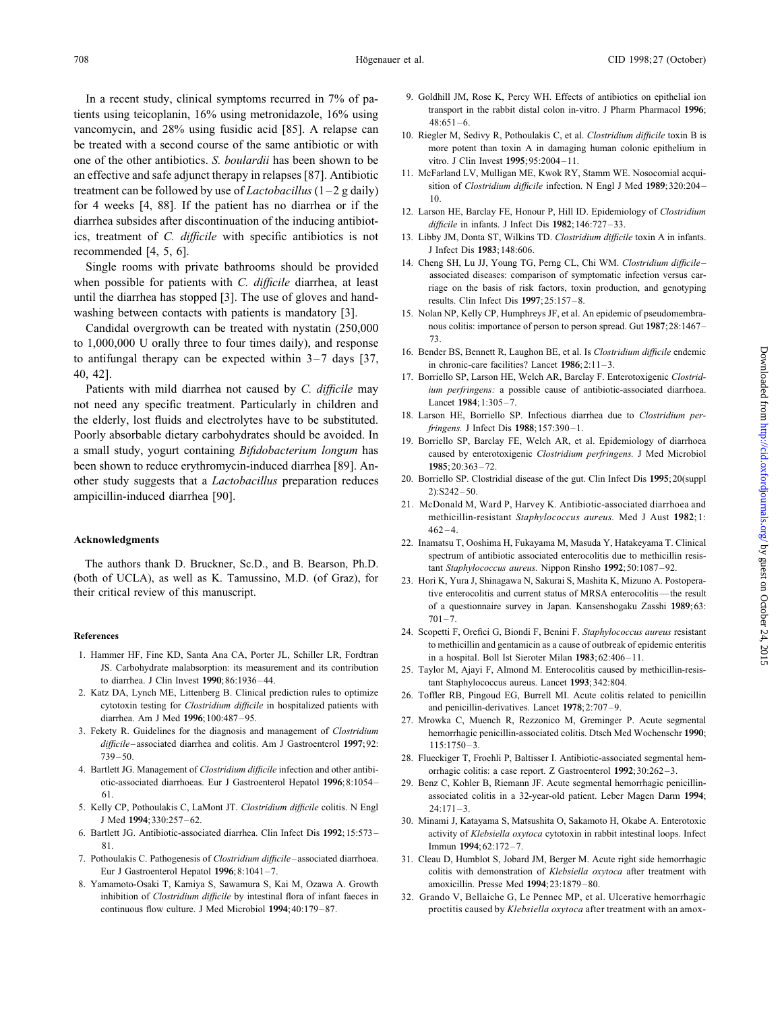tients using teicoplanin, 16% using metronidazole, 16% using<br>vancomycin, and 28% using fusidic acid [85]. A relapse can<br>10. Riegler M, Sedivy R, Pothoulakis C, et al. *Clostridium difficile* toxin B is be treated with a second course of the same antibiotic or with more potent than toxin A in damaging human colonic epithelium in one of the other antibiotics. *S. boulardii* has been shown to be vitro. J Clin Invest **1995**;95:2004–11. an effective and safe adjunct therapy in relapses [87]. Antibiotic 11. McFarland LV, Mulligan ME, Kwok RY, Stamm WE. Nosocomial acqui-<br>trootment can be followed by we of Lagtobasilly (1 - 2 g doily) sition of Clostridium d treatment can be followed by use of *Lactobacillus*  $(1-2 g daily)$ <br>for 4 weeks [4, 88]. If the patient has no diarrhea or if the<br>12. Larson HE, Barclay FE, Honour P, Hill ID. Epidemiology of *Clostridium* diarrhea subsides after discontinuation of the inducing antibiot-<br>*difficile* in infants. J Infect Dis 1982;146:727-33. ics, treatment of *C. difficile* with specific antibiotics is not 13. Libby JM, Donta ST, Wilkins TD. *Clostridium difficile* toxin A in infants. recommended [4, 5, 6].<br>I Infect Dis 1983;148:606.<br>Single rooms with private bathrooms should be provided 14. Cheng SH, Lu JJ, Young TG, Perng CL, Chi WM. Clostridium difficile-

until the diarrhea has stopped [3]. The use of gloves and hand- results. Clin Infect Dis **<sup>1997</sup>**;25:157–8. washing between contacts with patients is mandatory [3]. 15. Nolan NP, Kelly CP, Humphreys JF, et al. An epidemic of pseudomembra-

to 1,000,000 U orally three to four times daily), and response<br>to antifungal therapy can be expected within  $3-7$  days [37,<br>40, 42].

not need any specific treatment. Particularly in children and Lancet 1984;1:305–7.<br>the elderly lost fluids and electrolytes have to be substituted 18. Larson HE, Borriello SP. Infectious diarrhea due to Clostridium perthe elderly, lost fluids and electrolytes have to be substituted.<br>
Poorly absorbable dietary carbohydrates should be avoided. In 19. Borriello SP, Barclay FE, Welch AR, et al. Epidemiology of diarrhea a small study, yogurt containing *Bifidobacterium longum* has caused by enterotoxigenic *Clostridium perfringens.* J Med Microbiol been shown to reduce erythromycin-induced diarrhea [89]. An- **1985**;20:363–72. other study suggests that a *Lactobacillus* preparation reduces 20. Borriello SP. Clostridial disease of the gut. Clin Infect Dis **1995**;20(suppl 2):S242–50.<br>21. McDonald M, Ward P, Harvey K. Antibiotic-associated diarrhoea and<br>21. McDonald M, Ward P, Harvey K. Antibiotic-associated diarrhoea and

their critical review of this manuscript. the term of this manuscript. the result of MRSA enterocolitis—the result

- 1. Hammer HF, Fine KD, Santa Ana CA, Porter JL, Schiller LR, Fordtran in a hospital. Boll Ist Sieroter Milan 1983;62:406–11.<br>1983;62:406–11. IS. Carbohydrate malabsorption: its measurement and its contribution 25. Taylor M
- 2. Katz DA, Lynch ME, Littenberg B. Clinical prediction rules to optimize 26. Toffler RB, Pingoud EG, Burrell MI. Acute colitis related to penicillin cytotoxin testing for *Clostridium difficile* in hospitalized patients with and penicillin-derivatives. Lancet 1978; 2:707–9.<br>diarrhea. Am J Med 1996; 100:487–95. <br>27. Mrowka C. Muench R. Rezzonico M. Greminger
- *difficile*–associated diarrhea and colitis. Am J Gastroenterol **1997**;92: 115:1750–3. 739–50. 28. Flueckiger T, Froehli P, Baltisser I. Antibiotic-associated segmental hem-
- otic-associated diarrhoeas. Eur J Gastroenterol Hepatol **1996**;8:1054– 29. Benz C, Kohler B, Riemann JF. Acute segmental hemorrhagic penicillin-
- 5. Kelly CP, Pothoulakis C, LaMont JT. *Clostridium difficile* colitis. N Engl 24:171–3.
- 81. Immun **1994**;62:172–7.
- 7. Pothoulakis C. Pathogenesis of *Clostridium difficile*–associated diarrhoea. 31. Cleau D, Humblot S, Jobard JM, Berger M. Acute right side hemorrhagic
- 8. Yamamoto-Osaki T, Kamiya S, Sawamura S, Kai M, Ozawa A. Growth amoxicillin. Presse Med **1994**;23:1879–80. inhibition of *Clostridium difficile* by intestinal flora of infant faeces in 32. Grando V, Bellaiche G, Le Pennec MP, et al. Ulcerative hemorrhagic
- In a recent study, clinical symptoms recurred in 7% of pa-<br>
oldhill JM, Rose K, Percy WH. Effects of antibiotics on epithelial ion<br>
transport in the rabbit distal colon in-vitro. J Pharm Pharmacol 1996;<br>
or the rabbit dist
	-
	-
	-
	-
- Single rooms with private bathrooms should be provided<br>when possible for patients with *C. difficile* diarrhea, at least<br>when possible for patients with *C. difficile* diarrhea, at least<br>riage on the basis of risk factors,
	- Candidal overgrowth can be treated with nystatin (250,000 nous colitis: importance of person to person spread. Gut 1987;28:1467–<br>1.000.000 U smalls that a farm time daily) and managers 73.
		-
	- 17. Borriello SP, Larson HE, Welch AR, Barclay F. Enterotoxigenic *Clostrid-*Patients with mild diarrhea not caused by *C. difficile* may *ium perfringens:* a possible cause of antibiotic-associated diarrhoea.
		-
		-
		-
		- methicillin-resistant *Staphylococcus aureus.* Med J Aust **1982**;1:  $462 - 4.$
- **Acknowledgments** 22. Inamatsu T, Ooshima H, Fukayama M, Masuda Y, Hatakeyama T. Clinical Spectrum of antibiotic associated enterocolitis due to methicillin resis-<br>
(both of UCLA), as well as K. Tamussino, M.D. (of Graz), for 23. Hori K. Yura J. Shinagawa N. Sakurai S. Mashita K. Mizuno A. Postopera-
	- 23. Hori K, Yura J, Shinagawa N, Sakurai S, Mashita K, Mizuno A. Postoperaof a questionnaire survey in Japan. Kansenshogaku Zasshi **1989**;63:  $701 - 7$
- 24. Scopetti F, Orefici G, Biondi F, Benini F. *Staphylococcus aureus* resistant **References** to methicillin and gentamicin as a cause of outbreak of epidemic enteritis
	- JS. Carbohydrate malabsorption: its measurement and its contribution 25. Taylor M, Ajayi F, Almond M. Enterocolitis caused by methicillin-resistio diarrhea. J Clin Invest 1990; 86:1936–44. tant Staphylococcus aureus. Lancet 1993;342:804.
		-
- 27. Mrowka C, Muench R, Rezzonico M, Greminger P. Acute segmental 3. Fekety R. Guidelines for the diagnosis and management of *Clostridium* hemorrhagic penicillin-associated colitis. Dtsch Med Wochenschr **1990**;
- 4. Bartlett JG. Management of *Clostridium difficile* infection and other antibi- orrhagic colitis: a case report. Z Gastroenterol **1992**;30:262–3.
	- associated colitis in a 32-year-old patient. Leber Magen Darm 1994;
- 30. Minami J, Katayama S, Matsushita O, Sakamoto H, Okabe A. Enterotoxic 6. Bartlett JG. Antibiotic-associated diarrhea. Clin Infect Dis **1992**;15:573– activity of *Klebsiella oxytoca* cytotoxin in rabbit intestinal loops. Infect
	- Eur J Gastroenterol Hepatol **1996**;8:1041–7. colitis with demonstration of *Klebsiella oxytoca* after treatment with
	- continuous flow culture. J Med Microbiol **1994**;40:179–87. proctitis caused by *Klebsiella oxytoca* after treatment with an amox-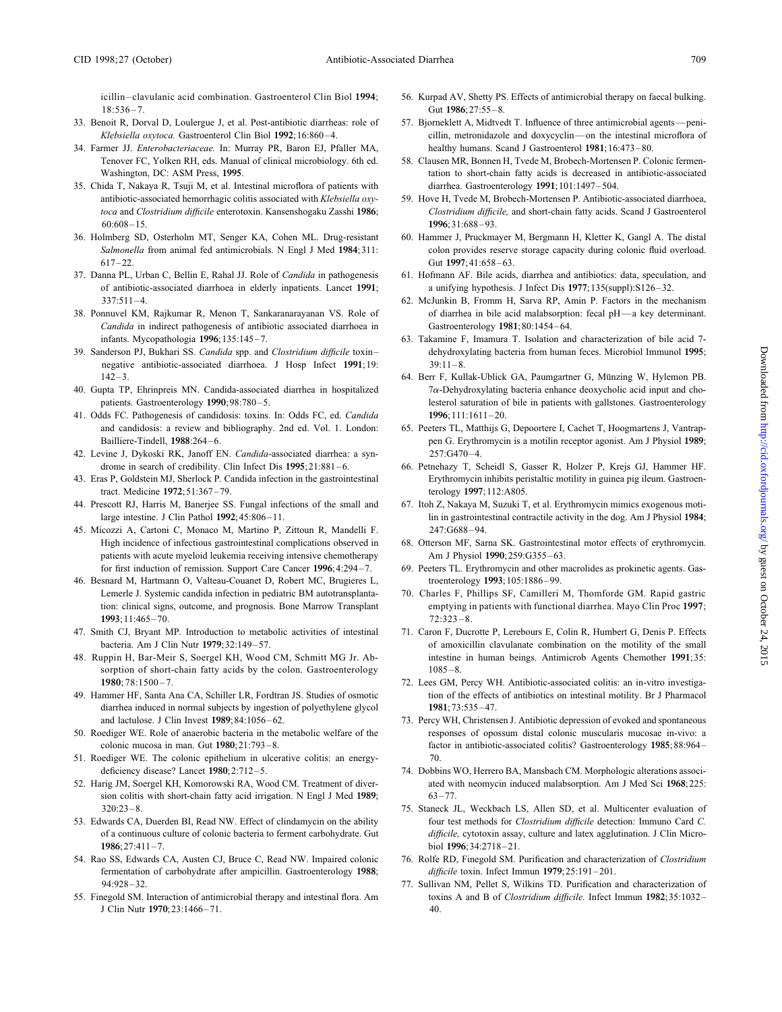18:536–7. Gut **1986**;27:55–8.

- 33. Benoit R, Dorval D, Loulergue J, et al. Post-antibiotic diarrheas: role of 57. Bjorneklett A, Midtvedt T. Influence of three antimicrobial agents—peni-
- 34. Farmer JJ. *Enterobacteriaceae.* In: Murray PR, Baron EJ, Pfaller MA, healthy humans. Scand J Gastroenterol **1981**;16:473–80. Tenover FC, Yolken RH, eds. Manual of clinical microbiology. 6th ed. 58. Clausen MR, Bonnen H, Tvede M, Brobech-Mortensen P. Colonic fermen-
- 35. Chida T, Nakaya R, Tsuji M, et al. Intestinal microflora of patients with diarrhea. Gastroenterology **1991**;101:1497–504. antibiotic-associated hemorrhagic colitis associated with *Klebsiella oxy-* 59. Hove H, Tvede M, Brobech-Mortensen P. Antibiotic-associated diarrhoea, 60:608–15. **1996**;31:688–93.
- 36. Holmberg SD, Osterholm MT, Senger KA, Cohen ML. Drug-resistant 60. Hammer J, Pruckmayer M, Bergmann H, Kletter K, Gangl A. The distal 617–22. Gut **1997**;41:658–63.
- of antibiotic-associated diarrhoea in elderly inpatients. Lancet **1991**; a unifying hypothesis. J Infect Dis **1977**;135(suppl):S126–32. 337:511–4. 62. McJunkin B, Fromm H, Sarva RP, Amin P. Factors in the mechanism
- *Candida* in indirect pathogenesis of antibiotic associated diarrhoea in Gastroenterology **1981**;80:1454–64. infants. Mycopathologia **1996**;135:145–7. 63. Takamine F, Imamura T. Isolation and characterization of bile acid 7-
- negative antibiotic-associated diarrhoea. J Hosp Infect **1991**;19: 39:11–8. 142–3. 64. Berr F, Kullak-Ublick GA, Paumgartner G, Münzing W, Hylemon PB.
- 
- 41. Odds FC. Pathogenesis of candidosis: toxins. In: Odds FC, ed. *Candida* **1996**;111:1611–20. and candidosis: a review and bibliography. 2nd ed. Vol. 1. London: 65. Peeters TL, Matthijs G, Depoortere I, Cachet T, Hoogmartens J, Vantrap-
- 42. Levine J, Dykoski RK, Janoff EN. *Candida*-associated diarrhea: a syn- 257:G470–4. drome in search of credibility. Clin Infect Dis **1995**;21:881–6. 66. Petnehazy T, Scheidl S, Gasser R, Holzer P, Krejs GJ, Hammer HF.
- tract. Medicine **1972**;51:367–79. terology **1997**;112:A805.
- 44. Prescott RJ, Harris M, Banerjee SS. Fungal infections of the small and 67. Itoh Z, Nakaya M, Suzuki T, et al. Erythromycin mimics exogenous moti-
- 45. Micozzi A, Cartoni C, Monaco M, Martino P, Zittoun R, Mandelli F. 247:G688–94. patients with acute myeloid leukemia receiving intensive chemotherapy Am J Physiol **1990**;259:G355–63.
- 46. Besnard M, Hartmann O, Valteau-Couanet D, Robert MC, Brugieres L, troenterology **1993**;105:1886–99. Lemerle J. Systemic candida infection in pediatric BM autotransplanta- 70. Charles F, Phillips SF, Camilleri M, Thomforde GM. Rapid gastric **1993**;11:465–70. 72:323–8.
- 47. Smith CJ, Bryant MP. Introduction to metabolic activities of intestinal 71. Caron F, Ducrotte P, Lerebours E, Colin R, Humbert G, Denis P. Effects
- sorption of short-chain fatty acids by the colon. Gastroenterology 1085–8. **1980**; 78:1500-7. **1980**; 78:1500-7.
- diarrhea induced in normal subjects by ingestion of polyethylene glycol **1981**;73:535–47.
- 50. Roediger WE. Role of anaerobic bacteria in the metabolic welfare of the responses of opossum distal colonic muscularis mucosae in-vivo: a
- 51. Roediger WE. The colonic epithelium in ulcerative colitis: an energy- 70. deficiency disease? Lancet 1980;2:712-5. 74. Dobbins WO, Herrero BA, Mansbach CM. Morphologic alterations associ-
- sion colitis with short-chain fatty acid irrigation. N Engl J Med **1989**; 63–77. 320:23–8. 75. Staneck JL, Weckbach LS, Allen SD, et al. Multicenter evaluation of
- **1986**;27:411–7. biol **1996**;34:2718–21.
- 54. Rao SS, Edwards CA, Austen CJ, Bruce C, Read NW. Impaired colonic 76. Rolfe RD, Finegold SM. Purification and characterization of *Clostridium* fermentation of carbohydrate after ampicillin. Gastroenterology **1988**; *difficile* toxin. Infect Immun **1979**;25:191–201. 94:928–32. 77. Sullivan NM, Pellet S, Wilkins TD. Purification and characterization of
- J Clin Nutr **1970**;23:1466–71. 40.
- icillin–clavulanic acid combination. Gastroenterol Clin Biol **1994**; 56. Kurpad AV, Shetty PS. Effects of antimicrobial therapy on faecal bulking.
- *Klebsiella oxytoca.* Gastroenterol Clin Biol **1992**;16:860–4. cillin, metronidazole and doxycyclin—on the intestinal microflora of
- Washington, DC: ASM Press, 1995. **tation** to short-chain fatty acids is decreased in antibiotic-associated
- *toca* and *Clostridium difficile* enterotoxin. Kansenshogaku Zasshi **1986**; *Clostridium difficile,* and short-chain fatty acids. Scand J Gastroenterol
- *Salmonella* from animal fed antimicrobials. N Engl J Med **1984**;311: colon provides reserve storage capacity during colonic fluid overload.
- 37. Danna PL, Urban C, Bellin E, Rahal JJ. Role of *Candida* in pathogenesis 61. Hofmann AF. Bile acids, diarrhea and antibiotics: data, speculation, and
- 38. Ponnuvel KM, Rajkumar R, Menon T, Sankaranarayanan VS. Role of of diarrhea in bile acid malabsorption: fecal pH—a key determinant.
- 39. Sanderson PJ, Bukhari SS. *Candida* spp. and *Clostridium difficile* toxin– dehydroxylating bacteria from human feces. Microbiol Immunol **1995**;
- 40. Gupta TP, Ehrinpreis MN. Candida-associated diarrhea in hospitalized  $7\alpha$ -Dehydroxylating bacteria enhance deoxycholic acid input and chopatients. Gastroenterology 1990;98:780-5. lesterol saturation of bile in patients with gallstones. Gastroenterology
	- Bailliere-Tindell, **1988**:264–6. **pen G. Erythromycin is a motilin receptor agonist. Am J Physiol <b>1989**;
- 43. Eras P, Goldstein MJ, Sherlock P. Candida infection in the gastrointestinal Erythromycin inhibits peristaltic motility in guinea pig ileum. Gastroen
	- large intestine. J Clin Pathol **1992**;45:806–11. lin in gastrointestinal contractile activity in the dog. Am J Physiol **1984**;
	- High incidence of infectious gastrointestinal complications observed in 68. Otterson MF, Sarna SK. Gastrointestinal motor effects of erythromycin.
	- for first induction of remission. Support Care Cancer **1996**;4:294–7. 69. Peeters TL. Erythromycin and other macrolides as prokinetic agents. Gas-
	- tion: clinical signs, outcome, and prognosis. Bone Marrow Transplant emptying in patients with functional diarrhea. Mayo Clin Proc **1997**;
- bacteria. Am J Clin Nutr 1979;32:149–57. of amoxicillin clavulanate combination on the motility of the small 48. Ruppin H, Bar-Meir S, Soergel KH, Wood CM, Schmitt MG Jr. Ab- intestine in human beings. Antimicrob Agents Chemother **1991**;35:
- 49. Hammer HF, Santa Ana CA, Schiller LR, Fordtran JS. Studies of osmotic tion of the effects of antibiotics on intestinal motility. Br J Pharmacol
	- and lactulose. J Clin Invest **1989**;84:1056–62. 73. Percy WH, Christensen J. Antibiotic depression of evoked and spontaneous colonic mucosa in man. Gut **1980**;21:793–8. factor in antibiotic-associated colitis? Gastroenterology **1985**;88:964–
- 52. Harig JM, Soergel KH, Komorowski RA, Wood CM. Treatment of diver- ated with neomycin induced malabsorption. Am J Med Sci **1968**;225:
- 53. Edwards CA, Duerden BI, Read NW. Effect of clindamycin on the ability four test methods for *Clostridium difficile* detection: Immuno Card *C.* of a continuous culture of colonic bacteria to ferment carbohydrate. Gut *difficile,* cytotoxin assay, culture and latex agglutination. J Clin Micro-
	-
- 55. Finegold SM. Interaction of antimicrobial therapy and intestinal flora. Am toxins A and B of *Clostridium difficile.* Infect Immun **1982**;35:1032–